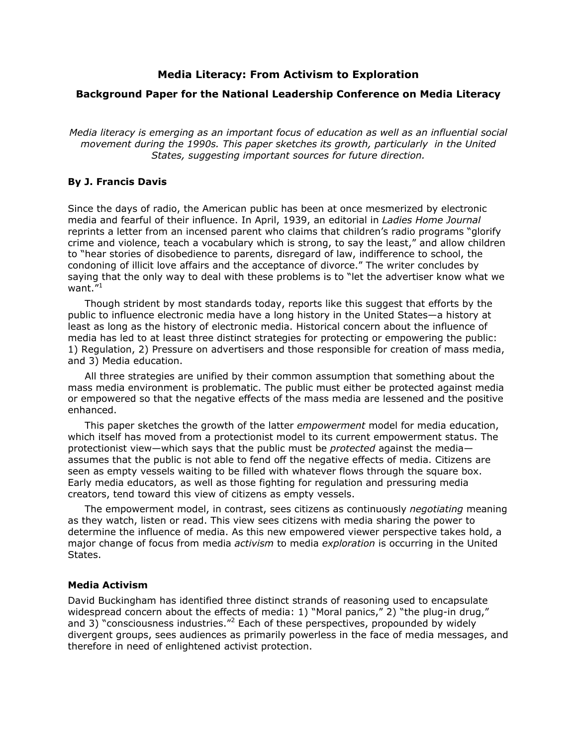## **Media Literacy: From Activism to Exploration**

#### **Background Paper for the National Leadership Conference on Media Literacy**

*Media literacy is emerging as an important focus of education as well as an influential social movement during the 1990s. This paper sketches its growth, particularly in the United States, suggesting important sources for future direction.* 

#### **By J. Francis Davis**

Since the days of radio, the American public has been at once mesmerized by electronic media and fearful of their influence. In April, 1939, an editorial in *Ladies Home Journal* reprints a letter from an incensed parent who claims that children's radio programs "glorify crime and violence, teach a vocabulary which is strong, to say the least," and allow children to "hear stories of disobedience to parents, disregard of law, indifference to school, the condoning of illicit love affairs and the acceptance of divorce." The writer concludes by saying that the only way to deal with these problems is to "let the advertiser know what we want. $1<sup>n1</sup>$  $1<sup>n1</sup>$ 

Though strident by most standards today, reports like this suggest that efforts by the public to influence electronic media have a long history in the United States—a history at least as long as the history of electronic media. Historical concern about the influence of media has led to at least three distinct strategies for protecting or empowering the public: 1) Regulation, 2) Pressure on advertisers and those responsible for creation of mass media, and 3) Media education.

All three strategies are unified by their common assumption that something about the mass media environment is problematic. The public must either be protected against media or empowered so that the negative effects of the mass media are lessened and the positive enhanced.

This paper sketches the growth of the latter *empowerment* model for media education, which itself has moved from a protectionist model to its current empowerment status. The protectionist view—which says that the public must be *protected* against the media assumes that the public is not able to fend off the negative effects of media. Citizens are seen as empty vessels waiting to be filled with whatever flows through the square box. Early media educators, as well as those fighting for regulation and pressuring media creators, tend toward this view of citizens as empty vessels.

The empowerment model, in contrast, sees citizens as continuously *negotiating* meaning as they watch, listen or read. This view sees citizens with media sharing the power to determine the influence of media. As this new empowered viewer perspective takes hold, a major change of focus from media *activism* to media *exploration* is occurring in the United States.

#### **Media Activism**

David Buckingham has identified three distinct strands of reasoning used to encapsulate widespread concern about the effects of media: 1) "Moral panics," 2) "the plug-in drug," and 3) "consciousness industries."<sup>2</sup> Each of these perspectives, propounded by widely divergent groups, sees audiences as primarily powerless in the face of media messages, and therefore in need of enlightened activist protection.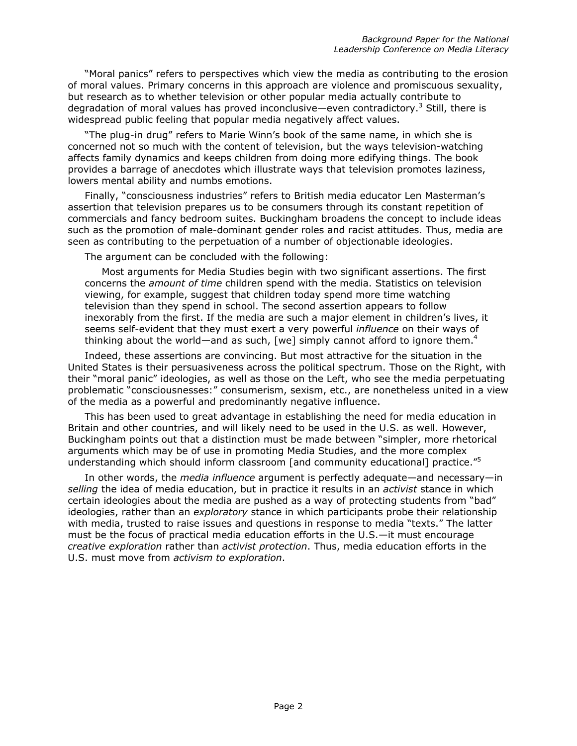"Moral panics" refers to perspectives which view the media as contributing to the erosion of moral values. Primary concerns in this approach are violence and promiscuous sexuality, but research as to whether television or other popular media actually contribute to degradation of moral values has proved inconclusive—even contradictory.<sup>3</sup> Still, there is widespread public feeling that popular media negatively affect values.

"The plug-in drug" refers to Marie Winn's book of the same name, in which she is concerned not so much with the content of television, but the ways television-watching affects family dynamics and keeps children from doing more edifying things. The book provides a barrage of anecdotes which illustrate ways that television promotes laziness, lowers mental ability and numbs emotions.

Finally, "consciousness industries" refers to British media educator Len Masterman's assertion that television prepares us to be consumers through its constant repetition of commercials and fancy bedroom suites. Buckingham broadens the concept to include ideas such as the promotion of male-dominant gender roles and racist attitudes. Thus, media are seen as contributing to the perpetuation of a number of objectionable ideologies.

The argument can be concluded with the following:

Most arguments for Media Studies begin with two significant assertions. The first concerns the *amount of time* children spend with the media. Statistics on television viewing, for example, suggest that children today spend more time watching television than they spend in school. The second assertion appears to follow inexorably from the first. If the media are such a major element in children's lives, it seems self-evident that they must exert a very powerful *influence* on their ways of thinking about the world—and as such, [we] simply cannot afford to ignore them.<sup>[4](#page-15-3)</sup>

Indeed, these assertions are convincing. But most attractive for the situation in the United States is their persuasiveness across the political spectrum. Those on the Right, with their "moral panic" ideologies, as well as those on the Left, who see the media perpetuating problematic "consciousnesses:" consumerism, sexism, etc., are nonetheless united in a view of the media as a powerful and predominantly negative influence.

This has been used to great advantage in establishing the need for media education in Britain and other countries, and will likely need to be used in the U.S. as well. However, Buckingham points out that a distinction must be made between "simpler, more rhetorical arguments which may be of use in promoting Media Studies, and the more complex understanding which should inform classroom [and community educational] practice."<sup>[5](#page-15-4)</sup>

In other words, the *media influence* argument is perfectly adequate—and necessary—in *selling* the idea of media education, but in practice it results in an *activist* stance in which certain ideologies about the media are pushed as a way of protecting students from "bad" ideologies, rather than an *exploratory* stance in which participants probe their relationship with media, trusted to raise issues and questions in response to media "texts." The latter must be the focus of practical media education efforts in the U.S.—it must encourage *creative exploration* rather than *activist protection*. Thus, media education efforts in the U.S. must move from *activism to exploration*.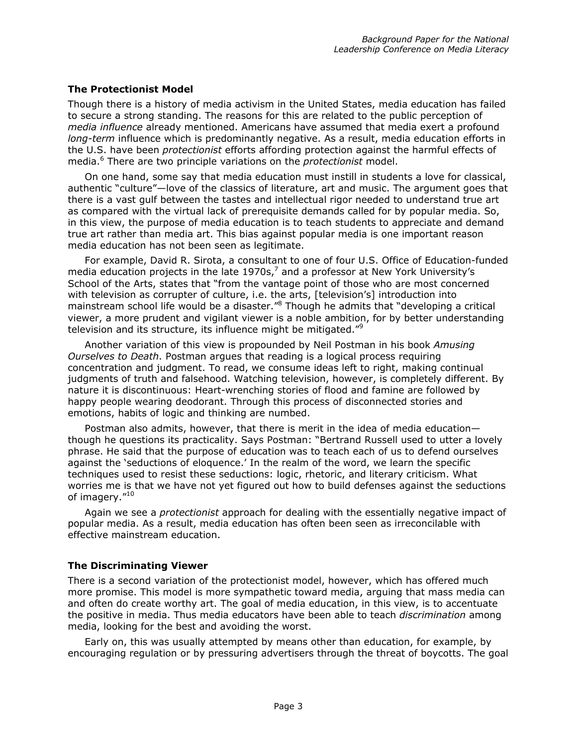## **The Protectionist Model**

Though there is a history of media activism in the United States, media education has failed to secure a strong standing. The reasons for this are related to the public perception of *media influence* already mentioned. Americans have assumed that media exert a profound *long-term* influence which is predominantly negative. As a result, media education efforts in the U.S. have been *protectionist* efforts affording protection against the harmful effects of media.[6](#page-15-5) There are two principle variations on the *protectionist* model.

On one hand, some say that media education must instill in students a love for classical, authentic "culture"—love of the classics of literature, art and music. The argument goes that there is a vast gulf between the tastes and intellectual rigor needed to understand true art as compared with the virtual lack of prerequisite demands called for by popular media. So, in this view, the purpose of media education is to teach students to appreciate and demand true art rather than media art. This bias against popular media is one important reason media education has not been seen as legitimate.

For example, David R. Sirota, a consultant to one of four U.S. Office of Education-funded media education projects in the late 1970s, $^7$  and a professor at New York University's School of the Arts, states that "from the vantage point of those who are most concerned with television as corrupter of culture, i.e. the arts, [television's] introduction into mainstream school life would be a disaster."<sup>8</sup> Though he admits that "developing a critical viewer, a more prudent and vigilant viewer is a noble ambition, for by better understanding television and its structure, its influence might be mitigated."<sup>9</sup>

Another variation of this view is propounded by Neil Postman in his book *Amusing Ourselves to Death*. Postman argues that reading is a logical process requiring concentration and judgment. To read, we consume ideas left to right, making continual judgments of truth and falsehood. Watching television, however, is completely different. By nature it is discontinuous: Heart-wrenching stories of flood and famine are followed by happy people wearing deodorant. Through this process of disconnected stories and emotions, habits of logic and thinking are numbed.

Postman also admits, however, that there is merit in the idea of media education though he questions its practicality. Says Postman: "Bertrand Russell used to utter a lovely phrase. He said that the purpose of education was to teach each of us to defend ourselves against the 'seductions of eloquence.' In the realm of the word, we learn the specific techniques used to resist these seductions: logic, rhetoric, and literary criticism. What worries me is that we have not yet figured out how to build defenses against the seductions of imagery."10

Again we see a *protectionist* approach for dealing with the essentially negative impact of popular media. As a result, media education has often been seen as irreconcilable with effective mainstream education.

# **The Discriminating Viewer**

There is a second variation of the protectionist model, however, which has offered much more promise. This model is more sympathetic toward media, arguing that mass media can and often do create worthy art. The goal of media education, in this view, is to accentuate the positive in media. Thus media educators have been able to teach *discrimination* among media, looking for the best and avoiding the worst.

Early on, this was usually attempted by means other than education, for example, by encouraging regulation or by pressuring advertisers through the threat of boycotts. The goal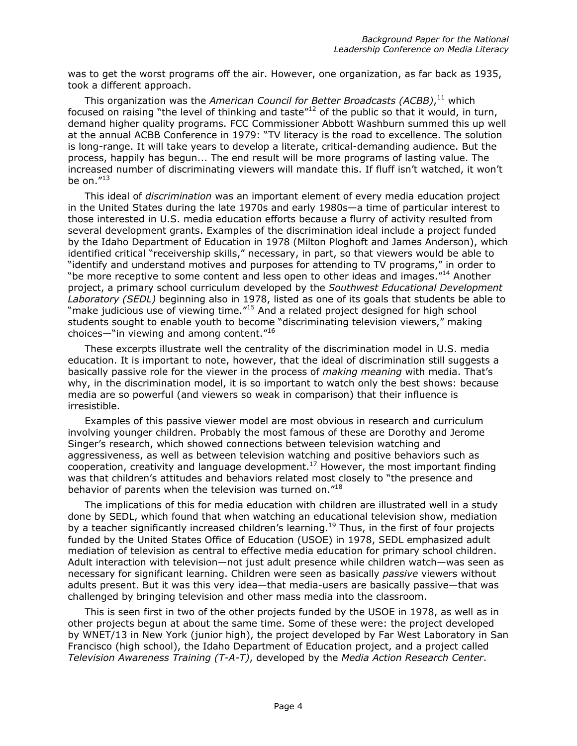was to get the worst programs off the air. However, one organization, as far back as 1935, took a different approach.

This organization was the *American Council for Better Broadcasts (ACBB)*, [11](#page-15-10) which focused on raising "the level of thinking and taste" $12$  of the public so that it would, in turn, demand higher quality programs. FCC Commissioner Abbott Washburn summed this up well at the annual ACBB Conference in 1979: "TV literacy is the road to excellence. The solution is long-range. It will take years to develop a literate, critical-demanding audience. But the process, happily has begun... The end result will be more programs of lasting value. The increased number of discriminating viewers will mandate this. If fluff isn't watched, it won't be on. $^{\prime\prime 13}$ 

This ideal of *discrimination* was an important element of every media education project in the United States during the late 1970s and early 1980s—a time of particular interest to those interested in U.S. media education efforts because a flurry of activity resulted from several development grants. Examples of the discrimination ideal include a project funded by the Idaho Department of Education in 1978 (Milton Ploghoft and James Anderson), which identified critical "receivership skills," necessary, in part, so that viewers would be able to "identify and understand motives and purposes for attending to TV programs," in order to "be more receptive to some content and less open to other ideas and images."<sup>14</sup> Another project, a primary school curriculum developed by the *Southwest Educational Development Laboratory (SEDL)* beginning also in 1978, listed as one of its goals that students be able to "make judicious use of viewing time.["15](#page-15-14) And a related project designed for high school students sought to enable youth to become "discriminating television viewers," making choices—"in viewing and among content."[16](#page-15-15)

These excerpts illustrate well the centrality of the discrimination model in U.S. media education. It is important to note, however, that the ideal of discrimination still suggests a basically passive role for the viewer in the process of *making meaning* with media. That's why, in the discrimination model, it is so important to watch only the best shows: because media are so powerful (and viewers so weak in comparison) that their influence is irresistible.

Examples of this passive viewer model are most obvious in research and curriculum involving younger children. Probably the most famous of these are Dorothy and Jerome Singer's research, which showed connections between television watching and aggressiveness, as well as between television watching and positive behaviors such as  $\frac{1}{2}$  cooperation, creativity and language development.<sup>17</sup> However, the most important finding was that children's attitudes and behaviors related most closely to "the presence and behavior of parents when the television was turned on."<sup>18</sup>

The implications of this for media education with children are illustrated well in a study done by SEDL, which found that when watching an educational television show, mediation by a teacher significantly increased children's learning.<sup>19</sup> Thus, in the first of four projects funded by the United States Office of Education (USOE) in 1978, SEDL emphasized adult mediation of television as central to effective media education for primary school children. Adult interaction with television—not just adult presence while children watch—was seen as necessary for significant learning. Children were seen as basically *passive* viewers without adults present. But it was this very idea—that media-users are basically passive—that was challenged by bringing television and other mass media into the classroom.

This is seen first in two of the other projects funded by the USOE in 1978, as well as in other projects begun at about the same time. Some of these were: the project developed by WNET/13 in New York (junior high), the project developed by Far West Laboratory in San Francisco (high school), the Idaho Department of Education project, and a project called *Television Awareness Training (T-A-T)*, developed by the *Media Action Research Center*.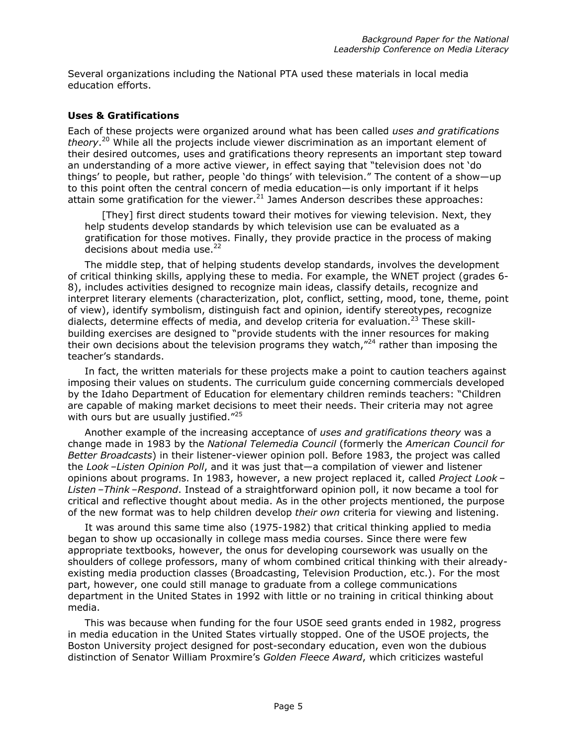Several organizations including the National PTA used these materials in local media education efforts.

### **Uses & Gratifications**

Each of these projects were organized around what has been called *uses and gratifications theory*. [20](#page-15-19) While all the projects include viewer discrimination as an important element of their desired outcomes, uses and gratifications theory represents an important step toward an understanding of a more active viewer, in effect saying that "television does not 'do things' to people, but rather, people 'do things' with television." The content of a show—up to this point often the central concern of media education—is only important if it helps attain some gratification for the viewer.<sup>21</sup> James Anderson describes these approaches:

[They] first direct students toward their motives for viewing television. Next, they help students develop standards by which television use can be evaluated as a gratification for those motives. Finally, they provide practice in the process of making decisions about media use. $22$ 

The middle step, that of helping students develop standards, involves the development of critical thinking skills, applying these to media. For example, the WNET project (grades 6- 8), includes activities designed to recognize main ideas, classify details, recognize and interpret literary elements (characterization, plot, conflict, setting, mood, tone, theme, point of view), identify symbolism, distinguish fact and opinion, identify stereotypes, recognize dialects, determine effects of media, and develop criteria for evaluation.<sup>23</sup> These skillbuilding exercises are designed to "provide students with the inner resources for making their own decisions about the television programs they watch, $n^2$  rather than imposing the teacher's standards.

In fact, the written materials for these projects make a point to caution teachers against imposing their values on students. The curriculum guide concerning commercials developed by the Idaho Department of Education for elementary children reminds teachers: "Children are capable of making market decisions to meet their needs. Their criteria may not agree with ours but are usually justified."<sup>25</sup>

Another example of the increasing acceptance of *uses and gratifications theory* was a change made in 1983 by the *National Telemedia Council* (formerly the *American Council for Better Broadcasts*) in their listener-viewer opinion poll. Before 1983, the project was called the *Look –Listen Opinion Poll*, and it was just that—a compilation of viewer and listener opinions about programs. In 1983, however, a new project replaced it, called *Project Look – Listen –Think –Respond*. Instead of a straightforward opinion poll, it now became a tool for critical and reflective thought about media. As in the other projects mentioned, the purpose of the new format was to help children develop *their own* criteria for viewing and listening.

It was around this same time also (1975-1982) that critical thinking applied to media began to show up occasionally in college mass media courses. Since there were few appropriate textbooks, however, the onus for developing coursework was usually on the shoulders of college professors, many of whom combined critical thinking with their alreadyexisting media production classes (Broadcasting, Television Production, etc.). For the most part, however, one could still manage to graduate from a college communications department in the United States in 1992 with little or no training in critical thinking about media.

This was because when funding for the four USOE seed grants ended in 1982, progress in media education in the United States virtually stopped. One of the USOE projects, the Boston University project designed for post-secondary education, even won the dubious distinction of Senator William Proxmire's *Golden Fleece Award*, which criticizes wasteful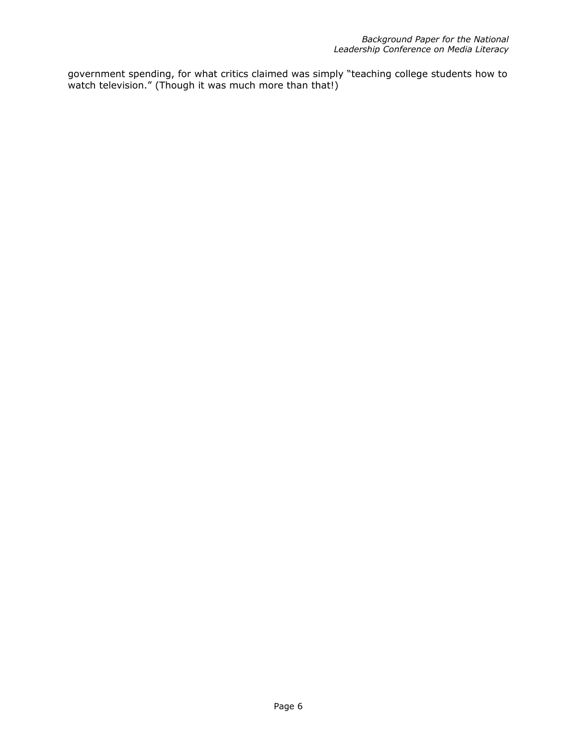government spending, for what critics claimed was simply "teaching college students how to watch television." (Though it was much more than that!)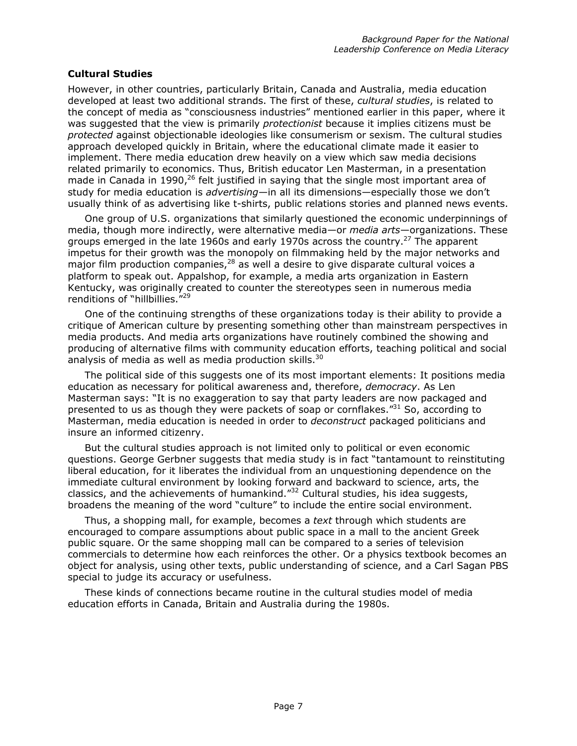## **Cultural Studies**

However, in other countries, particularly Britain, Canada and Australia, media education developed at least two additional strands. The first of these, *cultural studies*, is related to the concept of media as "consciousness industries" mentioned earlier in this paper, where it was suggested that the view is primarily *protectionist* because it implies citizens must be *protected* against objectionable ideologies like consumerism or sexism. The cultural studies approach developed quickly in Britain, where the educational climate made it easier to implement. There media education drew heavily on a view which saw media decisions related primarily to economics. Thus, British educator Len Masterman, in a presentation made in Canada in 1990, $^{26}$  felt justified in saying that the single most important area of study for media education is *advertising*—in all its dimensions—especially those we don't usually think of as advertising like t-shirts, public relations stories and planned news events.

One group of U.S. organizations that similarly questioned the economic underpinnings of media, though more indirectly, were alternative media—or *media arts*—organizations. These groups emerged in the late 1960s and early 1970s across the country.<sup>27</sup> The apparent impetus for their growth was the monopoly on filmmaking held by the major networks and major film production companies,<sup>28</sup> as well a desire to give disparate cultural voices a platform to speak out. Appalshop, for example, a media arts organization in Eastern Kentucky, was originally created to counter the stereotypes seen in numerous media renditions of "hillbillies."<sup>29</sup>

One of the continuing strengths of these organizations today is their ability to provide a critique of American culture by presenting something other than mainstream perspectives in media products. And media arts organizations have routinely combined the showing and producing of alternative films with community education efforts, teaching political and social analysis of media as well as media production skills.<sup>30</sup>

The political side of this suggests one of its most important elements: It positions media education as necessary for political awareness and, therefore, *democracy*. As Len Masterman says: "It is no exaggeration to say that party leaders are now packaged and presented to us as though they were packets of soap or cornflakes."<sup>31</sup> So, according to Masterman, media education is needed in order to *deconstruct* packaged politicians and insure an informed citizenry.

But the cultural studies approach is not limited only to political or even economic questions. George Gerbner suggests that media study is in fact "tantamount to reinstituting liberal education, for it liberates the individual from an unquestioning dependence on the immediate cultural environment by looking forward and backward to science, arts, the classics, and the achievements of humankind." $32$  Cultural studies, his idea suggests, broadens the meaning of the word "culture" to include the entire social environment.

Thus, a shopping mall, for example, becomes a *text* through which students are encouraged to compare assumptions about public space in a mall to the ancient Greek public square. Or the same shopping mall can be compared to a series of television commercials to determine how each reinforces the other. Or a physics textbook becomes an object for analysis, using other texts, public understanding of science, and a Carl Sagan PBS special to judge its accuracy or usefulness.

These kinds of connections became routine in the cultural studies model of media education efforts in Canada, Britain and Australia during the 1980s.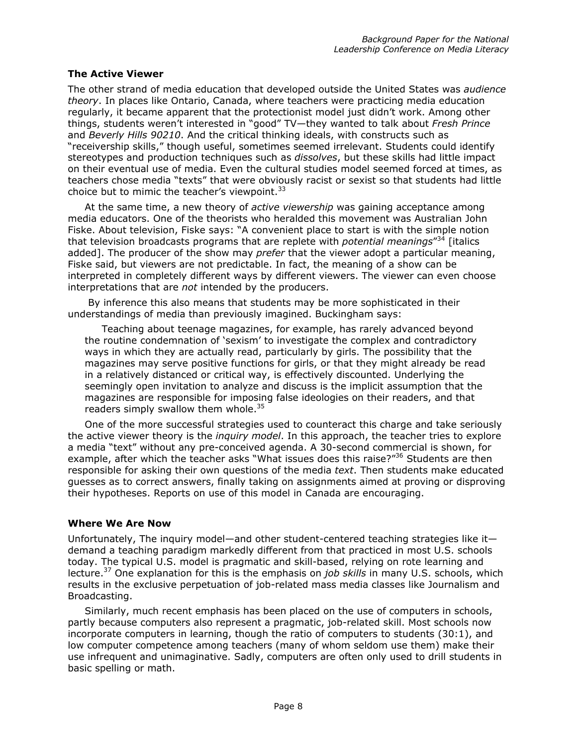### **The Active Viewer**

The other strand of media education that developed outside the United States was *audience theory*. In places like Ontario, Canada, where teachers were practicing media education regularly, it became apparent that the protectionist model just didn't work. Among other things, students weren't interested in "good" TV—they wanted to talk about *Fresh Prince* and *Beverly Hills 90210*. And the critical thinking ideals, with constructs such as "receivership skills," though useful, sometimes seemed irrelevant. Students could identify stereotypes and production techniques such as *dissolves*, but these skills had little impact on their eventual use of media. Even the cultural studies model seemed forced at times, as teachers chose media "texts" that were obviously racist or sexist so that students had little choice but to mimic the teacher's viewpoint. $33$ 

At the same time, a new theory of *active viewership* was gaining acceptance among media educators. One of the theorists who heralded this movement was Australian John Fiske. About television, Fiske says: "A convenient place to start is with the simple notion that television broadcasts programs that are replete with *potential meanings*"[34](#page-15-25) [italics added]. The producer of the show may *prefer* that the viewer adopt a particular meaning, Fiske said, but viewers are not predictable. In fact, the meaning of a show can be interpreted in completely different ways by different viewers. The viewer can even choose interpretations that are *not* intended by the producers.

 By inference this also means that students may be more sophisticated in their understandings of media than previously imagined. Buckingham says:

Teaching about teenage magazines, for example, has rarely advanced beyond the routine condemnation of 'sexism' to investigate the complex and contradictory ways in which they are actually read, particularly by girls. The possibility that the magazines may serve positive functions for girls, or that they might already be read in a relatively distanced or critical way, is effectively discounted. Underlying the seemingly open invitation to analyze and discuss is the implicit assumption that the magazines are responsible for imposing false ideologies on their readers, and that readers simply swallow them whole. $35$ 

One of the more successful strategies used to counteract this charge and take seriously the active viewer theory is the *inquiry model*. In this approach, the teacher tries to explore a media "text" without any pre-conceived agenda. A 30-second commercial is shown, for example, after which the teacher asks "What issues does this raise?"<sup>36</sup> Students are then responsible for asking their own questions of the media *text*. Then students make educated guesses as to correct answers, finally taking on assignments aimed at proving or disproving their hypotheses. Reports on use of this model in Canada are encouraging.

### **Where We Are Now**

Unfortunately, The inquiry model—and other student-centered teaching strategies like it demand a teaching paradigm markedly different from that practiced in most U.S. schools today. The typical U.S. model is pragmatic and skill-based, relying on rote learning and lecture[.37](#page-15-34) One explanation for this is the emphasis on *job skills* in many U.S. schools, which results in the exclusive perpetuation of job-related mass media classes like Journalism and Broadcasting.

Similarly, much recent emphasis has been placed on the use of computers in schools, partly because computers also represent a pragmatic, job-related skill. Most schools now incorporate computers in learning, though the ratio of computers to students (30:1), and low computer competence among teachers (many of whom seldom use them) make their use infrequent and unimaginative. Sadly, computers are often only used to drill students in basic spelling or math.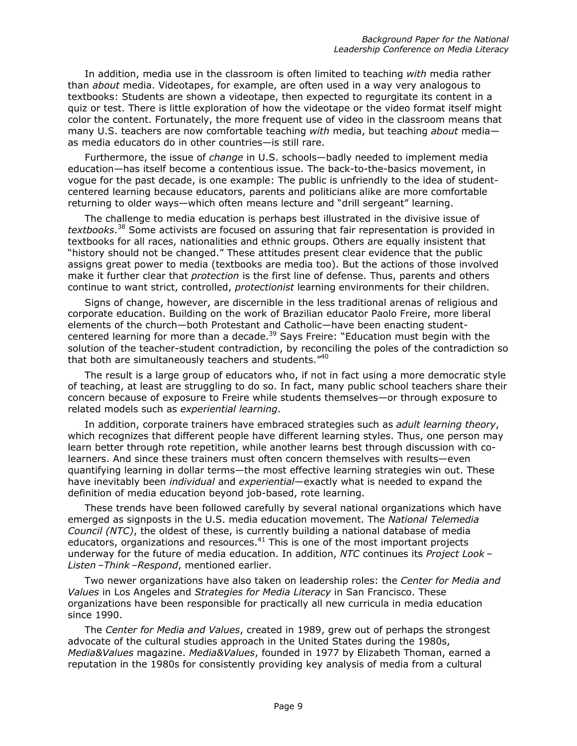In addition, media use in the classroom is often limited to teaching *with* media rather than *about* media. Videotapes, for example, are often used in a way very analogous to textbooks: Students are shown a videotape, then expected to regurgitate its content in a quiz or test. There is little exploration of how the videotape or the video format itself might color the content. Fortunately, the more frequent use of video in the classroom means that many U.S. teachers are now comfortable teaching *with* media, but teaching *about* media as media educators do in other countries—is still rare.

Furthermore, the issue of *change* in U.S. schools—badly needed to implement media education—has itself become a contentious issue. The back-to-the-basics movement, in vogue for the past decade, is one example: The public is unfriendly to the idea of studentcentered learning because educators, parents and politicians alike are more comfortable returning to older ways—which often means lecture and "drill sergeant" learning.

The challenge to media education is perhaps best illustrated in the divisive issue of *textbooks*. [38](#page-15-35) Some activists are focused on assuring that fair representation is provided in textbooks for all races, nationalities and ethnic groups. Others are equally insistent that "history should not be changed." These attitudes present clear evidence that the public assigns great power to media (textbooks are media too). But the actions of those involved make it further clear that *protection* is the first line of defense. Thus, parents and others continue to want strict, controlled, *protectionist* learning environments for their children.

Signs of change, however, are discernible in the less traditional arenas of religious and corporate education. Building on the work of Brazilian educator Paolo Freire, more liberal elements of the church—both Protestant and Catholic—have been enacting studentcentered learning for more than a decade.<sup>39</sup> Says Freire: "Education must begin with the solution of the teacher-student contradiction, by reconciling the poles of the contradiction so that both are simultaneously teachers and students."<sup>40</sup>

The result is a large group of educators who, if not in fact using a more democratic style of teaching, at least are struggling to do so. In fact, many public school teachers share their concern because of exposure to Freire while students themselves—or through exposure to related models such as *experiential learning*.

In addition, corporate trainers have embraced strategies such as *adult learning theory*, which recognizes that different people have different learning styles. Thus, one person may learn better through rote repetition, while another learns best through discussion with colearners. And since these trainers must often concern themselves with results—even quantifying learning in dollar terms—the most effective learning strategies win out. These have inevitably been *individual* and *experiential*—exactly what is needed to expand the definition of media education beyond job-based, rote learning.

These trends have been followed carefully by several national organizations which have emerged as signposts in the U.S. media education movement. The *National Telemedia Council (NTC)*, the oldest of these, is currently building a national database of media educators, organizations and resources.<sup>41</sup> This is one of the most important projects underway for the future of media education. In addition, *NTC* continues its *Project Look – Listen –Think –Respond*, mentioned earlier.

Two newer organizations have also taken on leadership roles: the *Center for Media and Values* in Los Angeles and *Strategies for Media Literacy* in San Francisco. These organizations have been responsible for practically all new curricula in media education since 1990.

The *Center for Media and Values*, created in 1989, grew out of perhaps the strongest advocate of the cultural studies approach in the United States during the 1980s, *Media&Values* magazine. *Media&Values*, founded in 1977 by Elizabeth Thoman, earned a reputation in the 1980s for consistently providing key analysis of media from a cultural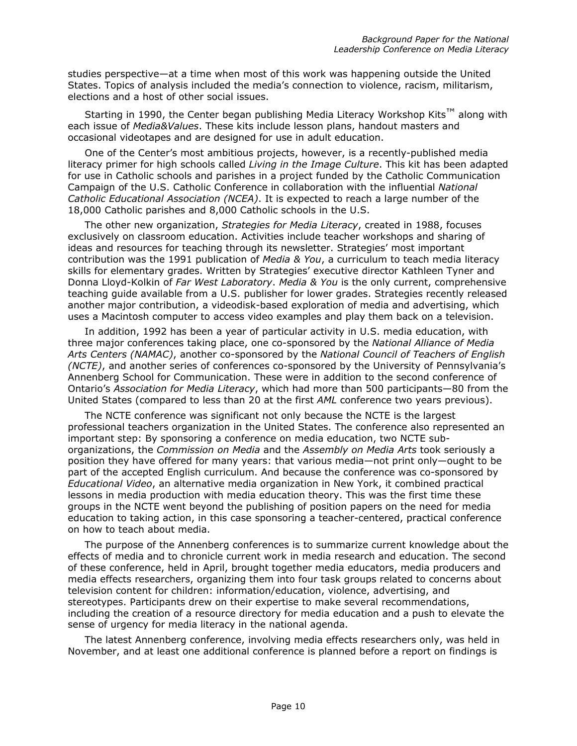studies perspective—at a time when most of this work was happening outside the United States. Topics of analysis included the media's connection to violence, racism, militarism, elections and a host of other social issues.

Starting in 1990, the Center began publishing Media Literacy Workshop Kits<sup>™</sup> along with each issue of *Media&Values*. These kits include lesson plans, handout masters and occasional videotapes and are designed for use in adult education.

One of the Center's most ambitious projects, however, is a recently-published media literacy primer for high schools called *Living in the Image Culture*. This kit has been adapted for use in Catholic schools and parishes in a project funded by the Catholic Communication Campaign of the U.S. Catholic Conference in collaboration with the influential *National Catholic Educational Association (NCEA)*. It is expected to reach a large number of the 18,000 Catholic parishes and 8,000 Catholic schools in the U.S.

The other new organization, *Strategies for Media Literacy*, created in 1988, focuses exclusively on classroom education. Activities include teacher workshops and sharing of ideas and resources for teaching through its newsletter. Strategies' most important contribution was the 1991 publication of *Media & You*, a curriculum to teach media literacy skills for elementary grades. Written by Strategies' executive director Kathleen Tyner and Donna Lloyd-Kolkin of *Far West Laboratory*. *Media & You* is the only current, comprehensive teaching guide available from a U.S. publisher for lower grades. Strategies recently released another major contribution, a videodisk-based exploration of media and advertising, which uses a Macintosh computer to access video examples and play them back on a television.

In addition, 1992 has been a year of particular activity in U.S. media education, with three major conferences taking place, one co-sponsored by the *National Alliance of Media Arts Centers (NAMAC)*, another co-sponsored by the *National Council of Teachers of English (NCTE)*, and another series of conferences co-sponsored by the University of Pennsylvania's Annenberg School for Communication. These were in addition to the second conference of Ontario's *Association for Media Literacy*, which had more than 500 participants—80 from the United States (compared to less than 20 at the first *AML* conference two years previous).

The NCTE conference was significant not only because the NCTE is the largest professional teachers organization in the United States. The conference also represented an important step: By sponsoring a conference on media education, two NCTE suborganizations, the *Commission on Media* and the *Assembly on Media Arts* took seriously a position they have offered for many years: that various media—not print only—ought to be part of the accepted English curriculum. And because the conference was co-sponsored by *Educational Video*, an alternative media organization in New York, it combined practical lessons in media production with media education theory. This was the first time these groups in the NCTE went beyond the publishing of position papers on the need for media education to taking action, in this case sponsoring a teacher-centered, practical conference on how to teach about media.

The purpose of the Annenberg conferences is to summarize current knowledge about the effects of media and to chronicle current work in media research and education. The second of these conference, held in April, brought together media educators, media producers and media effects researchers, organizing them into four task groups related to concerns about television content for children: information/education, violence, advertising, and stereotypes. Participants drew on their expertise to make several recommendations, including the creation of a resource directory for media education and a push to elevate the sense of urgency for media literacy in the national agenda.

The latest Annenberg conference, involving media effects researchers only, was held in November, and at least one additional conference is planned before a report on findings is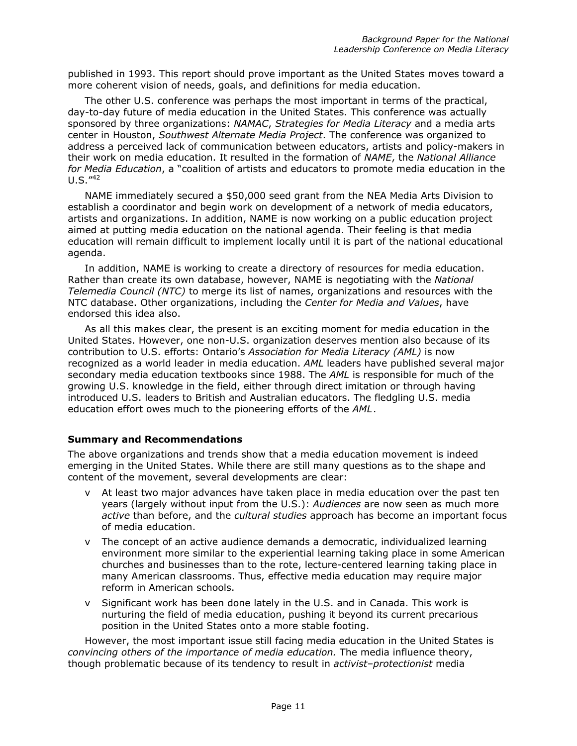published in 1993. This report should prove important as the United States moves toward a more coherent vision of needs, goals, and definitions for media education.

The other U.S. conference was perhaps the most important in terms of the practical, day-to-day future of media education in the United States. This conference was actually sponsored by three organizations: *NAMAC*, *Strategies for Media Literacy* and a media arts center in Houston, *Southwest Alternate Media Project*. The conference was organized to address a perceived lack of communication between educators, artists and policy-makers in their work on media education. It resulted in the formation of *NAME*, the *National Alliance for Media Education*, a "coalition of artists and educators to promote media education in the  $U.S.$   $142$  $142$ 

NAME immediately secured a \$50,000 seed grant from the NEA Media Arts Division to establish a coordinator and begin work on development of a network of media educators, artists and organizations. In addition, NAME is now working on a public education project aimed at putting media education on the national agenda. Their feeling is that media education will remain difficult to implement locally until it is part of the national educational agenda.

In addition, NAME is working to create a directory of resources for media education. Rather than create its own database, however, NAME is negotiating with the *National Telemedia Council (NTC)* to merge its list of names, organizations and resources with the NTC database. Other organizations, including the *Center for Media and Values*, have endorsed this idea also.

As all this makes clear, the present is an exciting moment for media education in the United States. However, one non-U.S. organization deserves mention also because of its contribution to U.S. efforts: Ontario's *Association for Media Literacy (AML)* is now recognized as a world leader in media education. *AML* leaders have published several major secondary media education textbooks since 1988. The *AML* is responsible for much of the growing U.S. knowledge in the field, either through direct imitation or through having introduced U.S. leaders to British and Australian educators. The fledgling U.S. media education effort owes much to the pioneering efforts of the *AML*.

### **Summary and Recommendations**

The above organizations and trends show that a media education movement is indeed emerging in the United States. While there are still many questions as to the shape and content of the movement, several developments are clear:

- v At least two major advances have taken place in media education over the past ten years (largely without input from the U.S.): *Audiences* are now seen as much more *active* than before, and the *cultural studies* approach has become an important focus of media education.
- v The concept of an active audience demands a democratic, individualized learning environment more similar to the experiential learning taking place in some American churches and businesses than to the rote, lecture-centered learning taking place in many American classrooms. Thus, effective media education may require major reform in American schools.
- v Significant work has been done lately in the U.S. and in Canada. This work is nurturing the field of media education, pushing it beyond its current precarious position in the United States onto a more stable footing.

However, the most important issue still facing media education in the United States is *convincing others of the importance of media education.* The media influence theory, though problematic because of its tendency to result in *activist–protectionist* media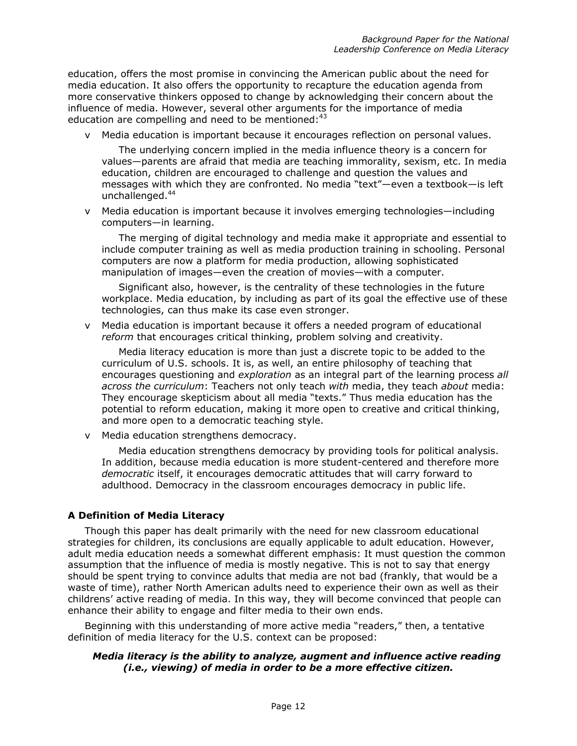education, offers the most promise in convincing the American public about the need for media education. It also offers the opportunity to recapture the education agenda from more conservative thinkers opposed to change by acknowledging their concern about the influence of media. However, several other arguments for the importance of media education are compelling and need to be mentioned:<sup>[43](#page-15-39)</sup>

v Media education is important because it encourages reflection on personal values.

The underlying concern implied in the media influence theory is a concern for values—parents are afraid that media are teaching immorality, sexism, etc. In media education, children are encouraged to challenge and question the values and messages with which they are confronted. No media "text"—even a textbook—is left unchallenged.<sup>44</sup>

v Media education is important because it involves emerging technologies—including computers—in learning.

The merging of digital technology and media make it appropriate and essential to include computer training as well as media production training in schooling. Personal computers are now a platform for media production, allowing sophisticated manipulation of images—even the creation of movies—with a computer.

Significant also, however, is the centrality of these technologies in the future workplace. Media education, by including as part of its goal the effective use of these technologies, can thus make its case even stronger.

v Media education is important because it offers a needed program of educational *reform* that encourages critical thinking, problem solving and creativity.

Media literacy education is more than just a discrete topic to be added to the curriculum of U.S. schools. It is, as well, an entire philosophy of teaching that encourages questioning and *exploration* as an integral part of the learning process *all across the curriculum*: Teachers not only teach *with* media, they teach *about* media: They encourage skepticism about all media "texts." Thus media education has the potential to reform education, making it more open to creative and critical thinking, and more open to a democratic teaching style.

v Media education strengthens democracy.

Media education strengthens democracy by providing tools for political analysis. In addition, because media education is more student-centered and therefore more *democratic* itself, it encourages democratic attitudes that will carry forward to adulthood. Democracy in the classroom encourages democracy in public life.

# **A Definition of Media Literacy**

Though this paper has dealt primarily with the need for new classroom educational strategies for children, its conclusions are equally applicable to adult education. However, adult media education needs a somewhat different emphasis: It must question the common assumption that the influence of media is mostly negative. This is not to say that energy should be spent trying to convince adults that media are not bad (frankly, that would be a waste of time), rather North American adults need to experience their own as well as their childrens' active reading of media. In this way, they will become convinced that people can enhance their ability to engage and filter media to their own ends.

Beginning with this understanding of more active media "readers," then, a tentative definition of media literacy for the U.S. context can be proposed:

### *Media literacy is the ability to analyze, augment and influence active reading (i.e., viewing) of media in order to be a more effective citizen.*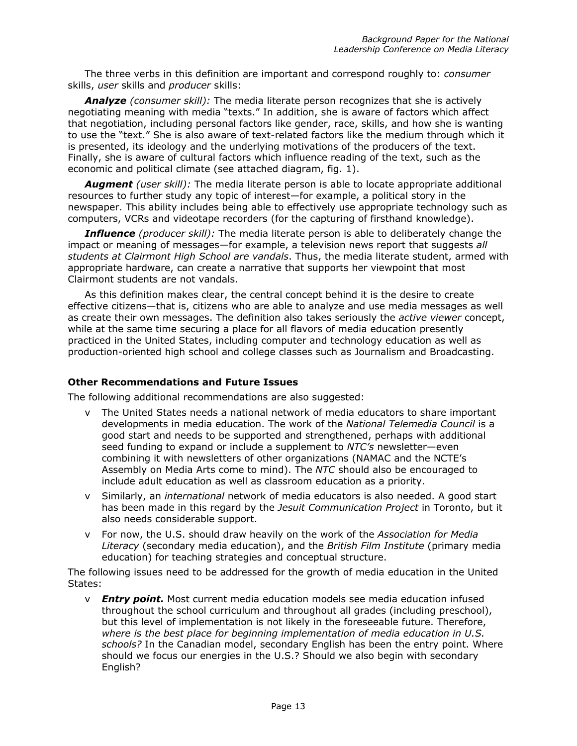The three verbs in this definition are important and correspond roughly to: *consumer* skills, *user* skills and *producer* skills:

*Analyze (consumer skill):* The media literate person recognizes that she is actively negotiating meaning with media "texts." In addition, she is aware of factors which affect that negotiation, including personal factors like gender, race, skills, and how she is wanting to use the "text." She is also aware of text-related factors like the medium through which it is presented, its ideology and the underlying motivations of the producers of the text. Finally, she is aware of cultural factors which influence reading of the text, such as the economic and political climate (see attached diagram, fig. 1).

*Augment (user skill):* The media literate person is able to locate appropriate additional resources to further study any topic of interest—for example, a political story in the newspaper. This ability includes being able to effectively use appropriate technology such as computers, VCRs and videotape recorders (for the capturing of firsthand knowledge).

*Influence (producer skill):* The media literate person is able to deliberately change the impact or meaning of messages—for example, a television news report that suggests *all students at Clairmont High School are vandals*. Thus, the media literate student, armed with appropriate hardware, can create a narrative that supports her viewpoint that most Clairmont students are not vandals.

As this definition makes clear, the central concept behind it is the desire to create effective citizens—that is, citizens who are able to analyze and use media messages as well as create their own messages. The definition also takes seriously the *active viewer* concept, while at the same time securing a place for all flavors of media education presently practiced in the United States, including computer and technology education as well as production-oriented high school and college classes such as Journalism and Broadcasting.

### **Other Recommendations and Future Issues**

The following additional recommendations are also suggested:

- v The United States needs a national network of media educators to share important developments in media education. The work of the *National Telemedia Council* is a good start and needs to be supported and strengthened, perhaps with additional seed funding to expand or include a supplement to *NTC's* newsletter—even combining it with newsletters of other organizations (NAMAC and the NCTE's Assembly on Media Arts come to mind). The *NTC* should also be encouraged to include adult education as well as classroom education as a priority.
- v Similarly, an *international* network of media educators is also needed. A good start has been made in this regard by the *Jesuit Communication Project* in Toronto, but it also needs considerable support.
- v For now, the U.S. should draw heavily on the work of the *Association for Media Literacy* (secondary media education), and the *British Film Institute* (primary media education) for teaching strategies and conceptual structure.

The following issues need to be addressed for the growth of media education in the United States:

v *Entry point.* Most current media education models see media education infused throughout the school curriculum and throughout all grades (including preschool), but this level of implementation is not likely in the foreseeable future. Therefore, *where is the best place for beginning implementation of media education in U.S. schools?* In the Canadian model, secondary English has been the entry point. Where should we focus our energies in the U.S.? Should we also begin with secondary English?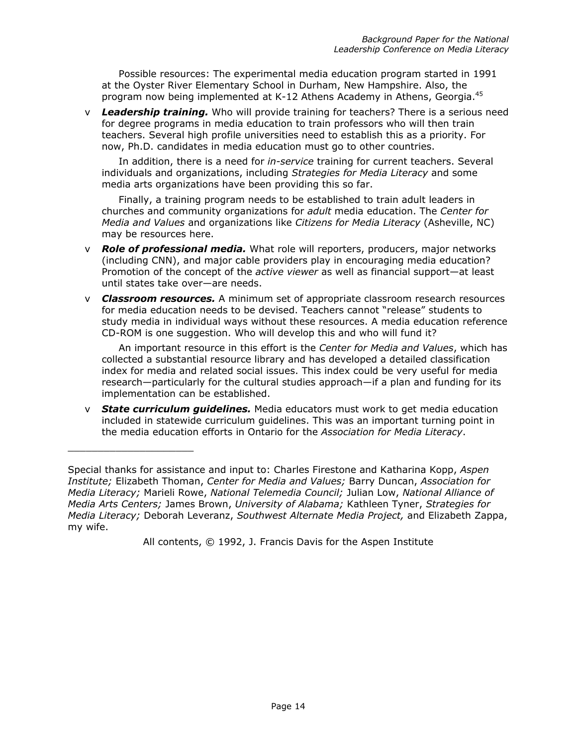Possible resources: The experimental media education program started in 1991 at the Oyster River Elementary School in Durham, New Hampshire. Also, the program now being implemented at K-12 Athens Academy in Athens, Georgia.<sup>[45](#page-15-11)</sup>

v *Leadership training.* Who will provide training for teachers? There is a serious need for degree programs in media education to train professors who will then train teachers. Several high profile universities need to establish this as a priority. For now, Ph.D. candidates in media education must go to other countries.

In addition, there is a need for *in-service* training for current teachers. Several individuals and organizations, including *Strategies for Media Literacy* and some media arts organizations have been providing this so far.

Finally, a training program needs to be established to train adult leaders in churches and community organizations for *adult* media education. The *Center for Media and Values* and organizations like *Citizens for Media Literacy* (Asheville, NC) may be resources here.

- v *Role of professional media.* What role will reporters, producers, major networks (including CNN), and major cable providers play in encouraging media education? Promotion of the concept of the *active viewer* as well as financial support—at least until states take over—are needs.
- v *Classroom resources.* A minimum set of appropriate classroom research resources for media education needs to be devised. Teachers cannot "release" students to study media in individual ways without these resources. A media education reference CD-ROM is one suggestion. Who will develop this and who will fund it?

An important resource in this effort is the *Center for Media and Values*, which has collected a substantial resource library and has developed a detailed classification index for media and related social issues. This index could be very useful for media research—particularly for the cultural studies approach—if a plan and funding for its implementation can be established.

v *State curriculum guidelines.* Media educators must work to get media education included in statewide curriculum guidelines. This was an important turning point in the media education efforts in Ontario for the *Association for Media Literacy*.

\_\_\_\_\_\_\_\_\_\_\_\_\_\_\_\_\_\_\_\_\_

All contents, © 1992, J. Francis Davis for the Aspen Institute

Special thanks for assistance and input to: Charles Firestone and Katharina Kopp, *Aspen Institute;* Elizabeth Thoman, *Center for Media and Values;* Barry Duncan, *Association for Media Literacy;* Marieli Rowe, *National Telemedia Council;* Julian Low, *National Alliance of Media Arts Centers;* James Brown, *University of Alabama;* Kathleen Tyner, *Strategies for Media Literacy;* Deborah Leveranz, *Southwest Alternate Media Project,* and Elizabeth Zappa, my wife.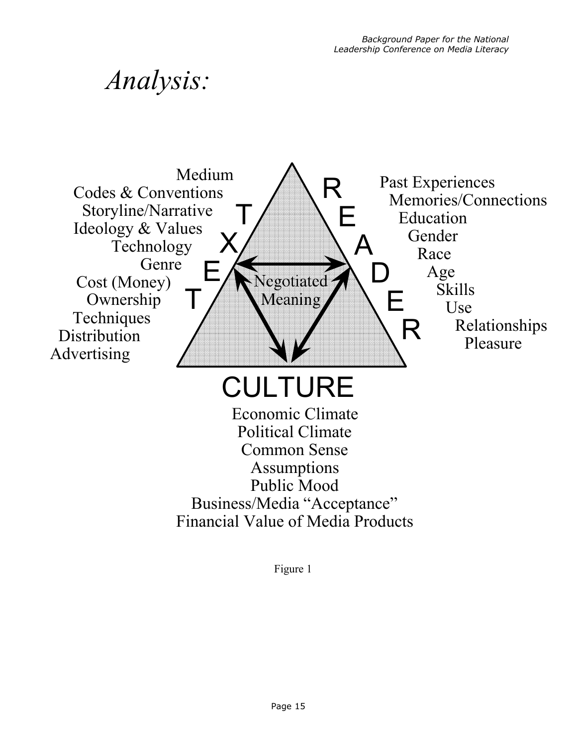# *Analysis:*



Figure 1